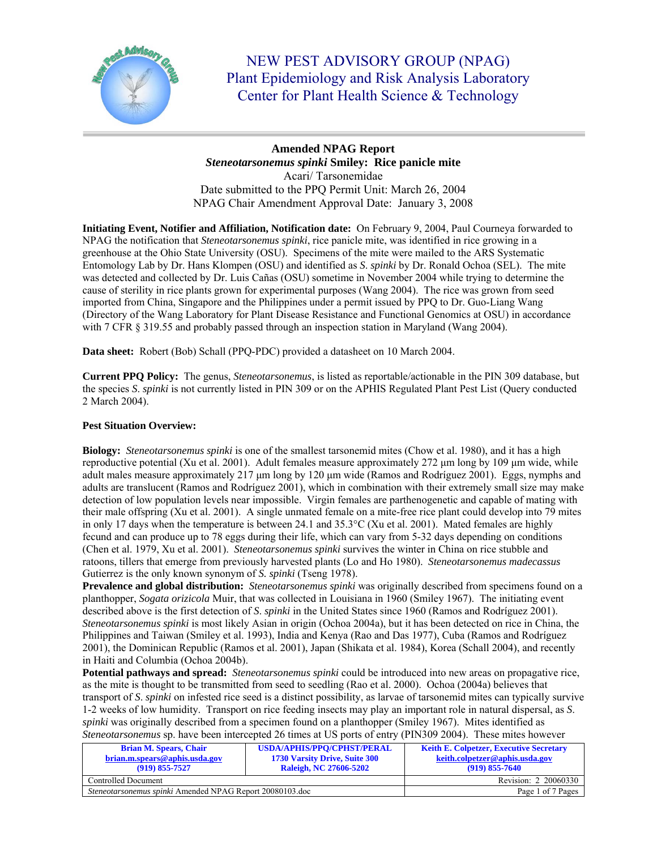

NEW PEST ADVISORY GROUP (NPAG) Plant Epidemiology and Risk Analysis Laboratory Center for Plant Health Science & Technology

# **Amended NPAG Report**  *Steneotarsonemus spinki* **Smiley: Rice panicle mite**  Acari/ Tarsonemidae Date submitted to the PPQ Permit Unit: March 26, 2004 NPAG Chair Amendment Approval Date: January 3, 2008

**Initiating Event, Notifier and Affiliation, Notification date:** On February 9, 2004, Paul Courneya forwarded to NPAG the notification that *Steneotarsonemus spinki*, rice panicle mite, was identified in rice growing in a greenhouse at the Ohio State University (OSU). Specimens of the mite were mailed to the ARS Systematic Entomology Lab by Dr. Hans Klompen (OSU) and identified as *S*. *spinki* by Dr. Ronald Ochoa (SEL). The mite was detected and collected by Dr. Luis Cañas (OSU) sometime in November 2004 while trying to determine the cause of sterility in rice plants grown for experimental purposes (Wang 2004). The rice was grown from seed imported from China, Singapore and the Philippines under a permit issued by PPQ to Dr. Guo-Liang Wang (Directory of the Wang Laboratory for Plant Disease Resistance and Functional Genomics at OSU) in accordance with 7 CFR § 319.55 and probably passed through an inspection station in Maryland (Wang 2004).

**Data sheet:** Robert (Bob) Schall (PPQ-PDC) provided a datasheet on 10 March 2004.

**Current PPQ Policy:** The genus, *Steneotarsonemus*, is listed as reportable/actionable in the PIN 309 database, but the species *S*. *spinki* is not currently listed in PIN 309 or on the APHIS Regulated Plant Pest List (Query conducted 2 March 2004).

## **Pest Situation Overview:**

**Biology:** *Steneotarsonemus spinki* is one of the smallest tarsonemid mites (Chow et al. 1980), and it has a high reproductive potential (Xu et al. 2001). Adult females measure approximately 272 μm long by 109 μm wide, while adult males measure approximately 217 μm long by 120 μm wide (Ramos and Rodríguez 2001). Eggs, nymphs and adults are translucent (Ramos and Rodríguez 2001), which in combination with their extremely small size may make detection of low population levels near impossible. Virgin females are parthenogenetic and capable of mating with their male offspring (Xu et al. 2001). A single unmated female on a mite-free rice plant could develop into 79 mites in only 17 days when the temperature is between 24.1 and 35.3°C (Xu et al. 2001). Mated females are highly fecund and can produce up to 78 eggs during their life, which can vary from 5-32 days depending on conditions (Chen et al. 1979, Xu et al. 2001). *Steneotarsonemus spinki* survives the winter in China on rice stubble and ratoons, tillers that emerge from previously harvested plants (Lo and Ho 1980). *Steneotarsonemus madecassus*  Gutierrez is the only known synonym of *S. spinki* (Tseng 1978).

**Prevalence and global distribution:** *Steneotarsonemus spinki* was originally described from specimens found on a planthopper, *Sogata orizicola* Muir, that was collected in Louisiana in 1960 (Smiley 1967). The initiating event described above is the first detection of *S*. *spinki* in the United States since 1960 (Ramos and Rodríguez 2001). *Steneotarsonemus spinki* is most likely Asian in origin (Ochoa 2004a), but it has been detected on rice in China, the Philippines and Taiwan (Smiley et al. 1993), India and Kenya (Rao and Das 1977), Cuba (Ramos and Rodríguez 2001), the Dominican Republic (Ramos et al. 2001), Japan (Shikata et al. 1984), Korea (Schall 2004), and recently in Haiti and Columbia (Ochoa 2004b).

**Potential pathways and spread:** *Steneotarsonemus spinki* could be introduced into new areas on propagative rice, as the mite is thought to be transmitted from seed to seedling (Rao et al. 2000). Ochoa (2004a) believes that transport of *S*. *spinki* on infested rice seed is a distinct possibility, as larvae of tarsonemid mites can typically survive 1-2 weeks of low humidity. Transport on rice feeding insects may play an important role in natural dispersal, as *S*. *spinki* was originally described from a specimen found on a planthopper (Smiley 1967). Mites identified as *Steneotarsonemus* sp. have been intercepted 26 times at US ports of entry (PIN309 2004). These mites however

| <b>Brian M. Spears, Chair</b>                                   | <b>USDA/APHIS/PPO/CPHST/PERAL</b>    | <b>Keith E. Colpetzer, Executive Secretary</b> |
|-----------------------------------------------------------------|--------------------------------------|------------------------------------------------|
| brian.m.spears@aphis.usda.gov                                   | <b>1730 Varsity Drive, Suite 300</b> | keith.colpetzer@aphis.usda.gov                 |
| $(919) 855 - 7527$                                              | <b>Raleigh, NC 27606-5202</b>        | $(919)$ 855-7640                               |
| Controlled Document                                             |                                      | Revision: 2 20060330                           |
| <i>Steneotarsonemus spinki</i> Amended NPAG Report 20080103.doc |                                      | Page 1 of 7 Pages                              |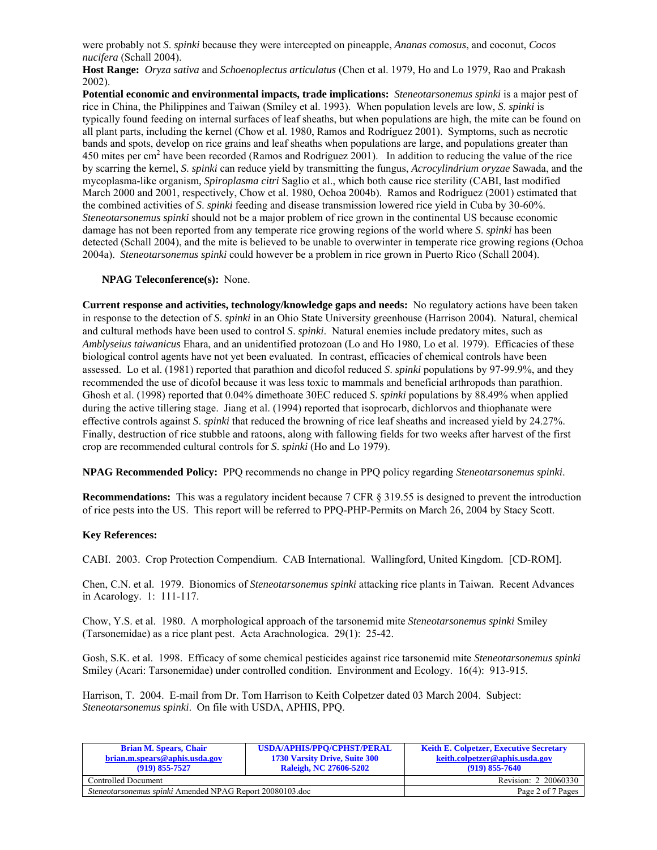were probably not *S*. *spinki* because they were intercepted on pineapple, *Ananas comosus*, and coconut, *Cocos nucifera* (Schall 2004).

**Host Range:** *Oryza sativa* and *Schoenoplectus articulatus* (Chen et al. 1979, Ho and Lo 1979, Rao and Prakash 2002).

**Potential economic and environmental impacts, trade implications:** *Steneotarsonemus spinki* is a major pest of rice in China, the Philippines and Taiwan (Smiley et al. 1993). When population levels are low, *S*. *spinki* is typically found feeding on internal surfaces of leaf sheaths, but when populations are high, the mite can be found on all plant parts, including the kernel (Chow et al. 1980, Ramos and Rodríguez 2001). Symptoms, such as necrotic bands and spots, develop on rice grains and leaf sheaths when populations are large, and populations greater than 450 mites per cm<sup>2</sup> have been recorded (Ramos and Rodríguez 2001). In addition to reducing the value of the rice by scarring the kernel, *S*. *spinki* can reduce yield by transmitting the fungus, *Acrocylindrium oryzae* Sawada, and the mycoplasma-like organism*, Spiroplasma citri* Saglio et al., which both cause rice sterility (CABI, last modified March 2000 and 2001, respectively, Chow et al. 1980, Ochoa 2004b). Ramos and Rodríguez (2001) estimated that the combined activities of *S*. *spinki* feeding and disease transmission lowered rice yield in Cuba by 30-60%. *Steneotarsonemus spinki* should not be a major problem of rice grown in the continental US because economic damage has not been reported from any temperate rice growing regions of the world where *S*. *spinki* has been detected (Schall 2004), and the mite is believed to be unable to overwinter in temperate rice growing regions (Ochoa 2004a). *Steneotarsonemus spinki* could however be a problem in rice grown in Puerto Rico (Schall 2004).

### **NPAG Teleconference(s):** None.

**Current response and activities, technology/knowledge gaps and needs:** No regulatory actions have been taken in response to the detection of *S*. *spinki* in an Ohio State University greenhouse (Harrison 2004). Natural, chemical and cultural methods have been used to control *S*. *spinki*. Natural enemies include predatory mites, such as *Amblyseius taiwanicus* Ehara, and an unidentified protozoan (Lo and Ho 1980, Lo et al. 1979). Efficacies of these biological control agents have not yet been evaluated. In contrast, efficacies of chemical controls have been assessed. Lo et al. (1981) reported that parathion and dicofol reduced *S*. *spinki* populations by 97-99.9%, and they recommended the use of dicofol because it was less toxic to mammals and beneficial arthropods than parathion. Ghosh et al. (1998) reported that 0.04% dimethoate 30EC reduced *S*. *spinki* populations by 88.49% when applied during the active tillering stage. Jiang et al. (1994) reported that isoprocarb, dichlorvos and thiophanate were effective controls against *S*. *spinki* that reduced the browning of rice leaf sheaths and increased yield by 24.27%. Finally, destruction of rice stubble and ratoons, along with fallowing fields for two weeks after harvest of the first crop are recommended cultural controls for *S*. *spinki* (Ho and Lo 1979).

**NPAG Recommended Policy:** PPQ recommends no change in PPQ policy regarding *Steneotarsonemus spinki*.

**Recommendations:** This was a regulatory incident because 7 CFR § 319.55 is designed to prevent the introduction of rice pests into the US. This report will be referred to PPQ-PHP-Permits on March 26, 2004 by Stacy Scott.

#### **Key References:**

CABI. 2003. Crop Protection Compendium. CAB International. Wallingford, United Kingdom. [CD-ROM].

Chen, C.N. et al. 1979. Bionomics of *Steneotarsonemus spinki* attacking rice plants in Taiwan. Recent Advances in Acarology. 1: 111-117.

Chow, Y.S. et al. 1980. A morphological approach of the tarsonemid mite *Steneotarsonemus spinki* Smiley (Tarsonemidae) as a rice plant pest. Acta Arachnologica. 29(1): 25-42.

Gosh, S.K. et al. 1998. Efficacy of some chemical pesticides against rice tarsonemid mite *Steneotarsonemus spinki* Smiley (Acari: Tarsonemidae) under controlled condition. Environment and Ecology. 16(4): 913-915.

Harrison, T. 2004. E-mail from Dr. Tom Harrison to Keith Colpetzer dated 03 March 2004. Subject: *Steneotarsonemus spinki*. On file with USDA, APHIS, PPQ.

| <b>Brian M. Spears, Chair</b><br>brian.m.spears@aphis.usda.gov<br>$(919) 855 - 7527$ | <b>USDA/APHIS/PPO/CPHST/PERAL</b><br><b>1730 Varsity Drive, Suite 300</b><br><b>Raleigh, NC 27606-5202</b> | <b>Keith E. Colpetzer, Executive Secretary</b><br>keith.colpetzer@aphis.usda.gov<br>$(919) 855 - 7640$ |
|--------------------------------------------------------------------------------------|------------------------------------------------------------------------------------------------------------|--------------------------------------------------------------------------------------------------------|
| Controlled Document                                                                  |                                                                                                            | Revision: 2 20060330                                                                                   |
| <i>Steneotarsonemus spinki</i> Amended NPAG Report 20080103.doc                      |                                                                                                            | Page 2 of 7 Pages                                                                                      |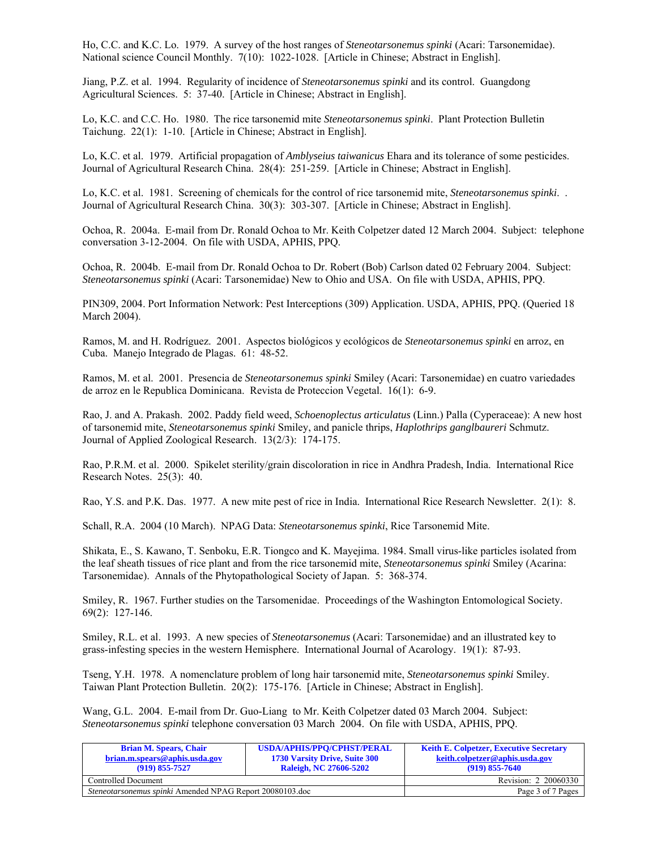Ho, C.C. and K.C. Lo. 1979. A survey of the host ranges of *Steneotarsonemus spinki* (Acari: Tarsonemidae). National science Council Monthly. 7(10): 1022-1028. [Article in Chinese; Abstract in English].

Jiang, P.Z. et al. 1994. Regularity of incidence of *Steneotarsonemus spinki* and its control. Guangdong Agricultural Sciences. 5: 37-40. [Article in Chinese; Abstract in English].

Lo, K.C. and C.C. Ho. 1980. The rice tarsonemid mite *Steneotarsonemus spinki*. Plant Protection Bulletin Taichung. 22(1): 1-10. [Article in Chinese; Abstract in English].

Lo, K.C. et al. 1979. Artificial propagation of *Amblyseius taiwanicus* Ehara and its tolerance of some pesticides. Journal of Agricultural Research China. 28(4): 251-259. [Article in Chinese; Abstract in English].

Lo, K.C. et al. 1981. Screening of chemicals for the control of rice tarsonemid mite, *Steneotarsonemus spinki*. . Journal of Agricultural Research China. 30(3): 303-307. [Article in Chinese; Abstract in English].

Ochoa, R. 2004a. E-mail from Dr. Ronald Ochoa to Mr. Keith Colpetzer dated 12 March 2004. Subject: telephone conversation 3-12-2004. On file with USDA, APHIS, PPQ.

Ochoa, R. 2004b. E-mail from Dr. Ronald Ochoa to Dr. Robert (Bob) Carlson dated 02 February 2004. Subject: *Steneotarsonemus spinki* (Acari: Tarsonemidae) New to Ohio and USA. On file with USDA, APHIS, PPQ.

PIN309, 2004. Port Information Network: Pest Interceptions (309) Application. USDA, APHIS, PPQ. (Queried 18 March 2004).

Ramos, M. and H. Rodríguez. 2001. Aspectos biológicos y ecológicos de *Steneotarsonemus spinki* en arroz, en Cuba. Manejo Integrado de Plagas. 61: 48-52.

Ramos, M. et al. 2001. Presencia de *Steneotarsonemus spinki* Smiley (Acari: Tarsonemidae) en cuatro variedades de arroz en le Republica Dominicana. Revista de Proteccion Vegetal. 16(1): 6-9.

Rao, J. and A. Prakash. 2002. Paddy field weed, *Schoenoplectus articulatus* (Linn.) Palla (Cyperaceae): A new host of tarsonemid mite, *Steneotarsonemus spinki* Smiley, and panicle thrips, *Haplothrips ganglbaureri* Schmutz. Journal of Applied Zoological Research. 13(2/3): 174-175.

Rao, P.R.M. et al. 2000. Spikelet sterility/grain discoloration in rice in Andhra Pradesh, India. International Rice Research Notes. 25(3): 40.

Rao, Y.S. and P.K. Das. 1977. A new mite pest of rice in India. International Rice Research Newsletter. 2(1): 8.

Schall, R.A. 2004 (10 March). NPAG Data: *Steneotarsonemus spinki*, Rice Tarsonemid Mite.

Shikata, E., S. Kawano, T. Senboku, E.R. Tiongco and K. Mayejima. 1984. Small virus-like particles isolated from the leaf sheath tissues of rice plant and from the rice tarsonemid mite, *Steneotarsonemus spinki* Smiley (Acarina: Tarsonemidae). Annals of the Phytopathological Society of Japan. 5: 368-374.

Smiley, R. 1967. Further studies on the Tarsomenidae. Proceedings of the Washington Entomological Society. 69(2): 127-146.

Smiley, R.L. et al. 1993. A new species of *Steneotarsonemus* (Acari: Tarsonemidae) and an illustrated key to grass-infesting species in the western Hemisphere. International Journal of Acarology. 19(1): 87-93.

Tseng, Y.H. 1978. A nomenclature problem of long hair tarsonemid mite, *Steneotarsonemus spinki* Smiley. Taiwan Plant Protection Bulletin. 20(2): 175-176. [Article in Chinese; Abstract in English].

Wang, G.L. 2004. E-mail from Dr. Guo-Liang to Mr. Keith Colpetzer dated 03 March 2004. Subject: *Steneotarsonemus spinki* telephone conversation 03 March 2004. On file with USDA, APHIS, PPQ.

| <b>Brian M. Spears, Chair</b><br>brian.m.spears@aphis.usda.gov<br>$(919) 855 - 7527$ | <b>USDA/APHIS/PPO/CPHST/PERAL</b><br>1730 Varsity Drive, Suite 300<br><b>Raleigh, NC 27606-5202</b> | <b>Keith E. Colpetzer, Executive Secretary</b><br>keith.colpetzer@aphis.usda.gov<br>$(919)$ 855-7640 |
|--------------------------------------------------------------------------------------|-----------------------------------------------------------------------------------------------------|------------------------------------------------------------------------------------------------------|
| Controlled Document                                                                  |                                                                                                     | Revision: 2 20060330                                                                                 |
| <i>Steneotarsonemus spinki</i> Amended NPAG Report 20080103.doc                      |                                                                                                     | Page 3 of 7 Pages                                                                                    |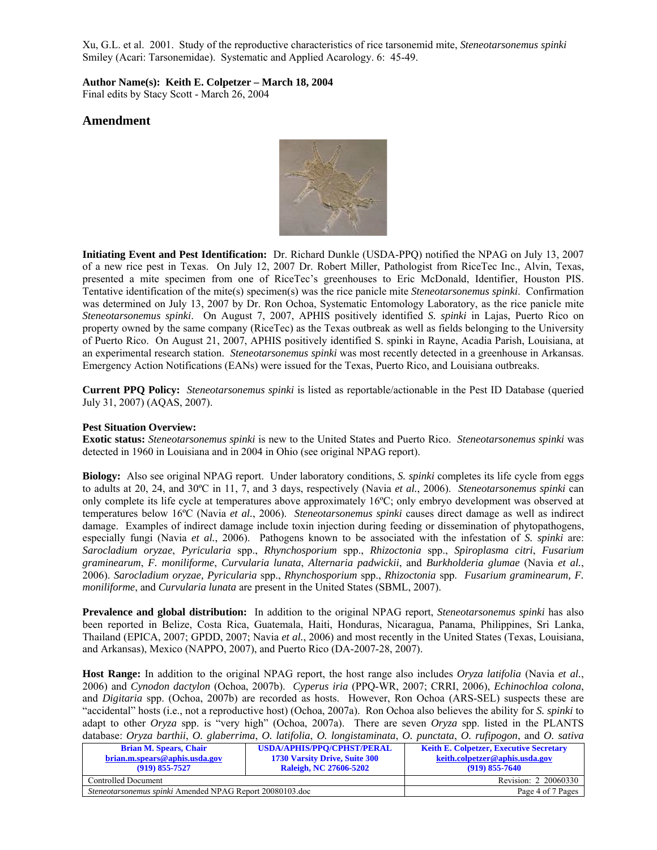Xu, G.L. et al. 2001. Study of the reproductive characteristics of rice tarsonemid mite, *Steneotarsonemus spinki*  Smiley (Acari: Tarsonemidae). Systematic and Applied Acarology. 6: 45-49.

**Author Name(s): Keith E. Colpetzer – March 18, 2004** 

Final edits by Stacy Scott - March 26, 2004

# **Amendment**



**Initiating Event and Pest Identification:** Dr. Richard Dunkle (USDA-PPQ) notified the NPAG on July 13, 2007 of a new rice pest in Texas. On July 12, 2007 Dr. Robert Miller, Pathologist from RiceTec Inc., Alvin, Texas, presented a mite specimen from one of RiceTec's greenhouses to Eric McDonald, Identifier, Houston PIS. Tentative identification of the mite(s) specimen(s) was the rice panicle mite *Steneotarsonemus spinki*. Confirmation was determined on July 13, 2007 by Dr. Ron Ochoa, Systematic Entomology Laboratory, as the rice panicle mite *Steneotarsonemus spinki*. On August 7, 2007, APHIS positively identified *S. spinki* in Lajas, Puerto Rico on property owned by the same company (RiceTec) as the Texas outbreak as well as fields belonging to the University of Puerto Rico. On August 21, 2007, APHIS positively identified S. spinki in Rayne, Acadia Parish, Louisiana, at an experimental research station. *Steneotarsonemus spinki* was most recently detected in a greenhouse in Arkansas. Emergency Action Notifications (EANs) were issued for the Texas, Puerto Rico, and Louisiana outbreaks.

**Current PPQ Policy:** *Steneotarsonemus spinki* is listed as reportable/actionable in the Pest ID Database (queried July 31, 2007) (AQAS, 2007).

## **Pest Situation Overview:**

**Exotic status:** *Steneotarsonemus spinki* is new to the United States and Puerto Rico. *Steneotarsonemus spinki* was detected in 1960 in Louisiana and in 2004 in Ohio (see original NPAG report).

**Biology:** Also see original NPAG report. Under laboratory conditions, *S. spinki* completes its life cycle from eggs to adults at 20, 24, and 30ºC in 11, 7, and 3 days, respectively (Navia *et al.*, 2006). *Steneotarsonemus spinki* can only complete its life cycle at temperatures above approximately 16ºC; only embryo development was observed at temperatures below 16ºC (Navia *et al.*, 2006). *Steneotarsonemus spinki* causes direct damage as well as indirect damage. Examples of indirect damage include toxin injection during feeding or dissemination of phytopathogens, especially fungi (Navia *et al.*, 2006). Pathogens known to be associated with the infestation of *S. spinki* are: *Sarocladium oryzae*, *Pyricularia* spp., *Rhynchosporium* spp., *Rhizoctonia* spp., *Spiroplasma citri*, *Fusarium graminearum*, *F. moniliforme*, *Curvularia lunata*, *Alternaria padwickii*, and *Burkholderia glumae* (Navia *et al.*, 2006). *Sarocladium oryzae, Pyricularia* spp., *Rhynchosporium* spp., *Rhizoctonia* spp. *Fusarium graminearum, F. moniliforme*, and *Curvularia lunata* are present in the United States (SBML, 2007).

**Prevalence and global distribution:** In addition to the original NPAG report, *Steneotarsonemus spinki* has also been reported in Belize, Costa Rica, Guatemala, Haiti, Honduras, Nicaragua, Panama, Philippines, Sri Lanka, Thailand (EPICA, 2007; GPDD, 2007; Navia *et al.*, 2006) and most recently in the United States (Texas, Louisiana, and Arkansas), Mexico (NAPPO, 2007), and Puerto Rico (DA-2007-28, 2007).

**Host Range:** In addition to the original NPAG report, the host range also includes *Oryza latifolia* (Navia *et al.*, 2006) and *Cynodon dactylon* (Ochoa, 2007b). *Cyperus iria* (PPQ-WR, 2007; CRRI, 2006), *Echinochloa colona*, and *Digitaria* spp. (Ochoa, 2007b) are recorded as hosts. However, Ron Ochoa (ARS-SEL) suspects these are "accidental" hosts (i.e., not a reproductive host) (Ochoa, 2007a). Ron Ochoa also believes the ability for *S. spinki* to adapt to other *Oryza* spp. is "very high" (Ochoa, 2007a). There are seven *Oryza* spp. listed in the PLANTS database: *Oryza barthii*, *O. glaberrima*, *O. latifolia*, *O. longistaminata*, *O. punctata*, *O. rufipogon*, and *O. sativa*

| www.cwee: or generally or greater man, or remported or romgenerally or penterent, or mppogon, when or benefic |                                      |                                                |
|---------------------------------------------------------------------------------------------------------------|--------------------------------------|------------------------------------------------|
| <b>Brian M. Spears, Chair</b>                                                                                 | <b>USDA/APHIS/PPO/CPHST/PERAL</b>    | <b>Keith E. Colpetzer, Executive Secretary</b> |
| brian.m.spears@aphis.usda.gov                                                                                 | <b>1730 Varsity Drive, Suite 300</b> | keith.colpetzer@aphis.usda.gov                 |
| $(919) 855 - 7527$                                                                                            | <b>Raleigh, NC 27606-5202</b>        | $(919)$ 855-7640                               |
| Controlled Document                                                                                           |                                      | Revision: 2 20060330                           |
| <i>Steneotarsonemus spinki</i> Amended NPAG Report 20080103.doc                                               |                                      | Page 4 of 7 Pages                              |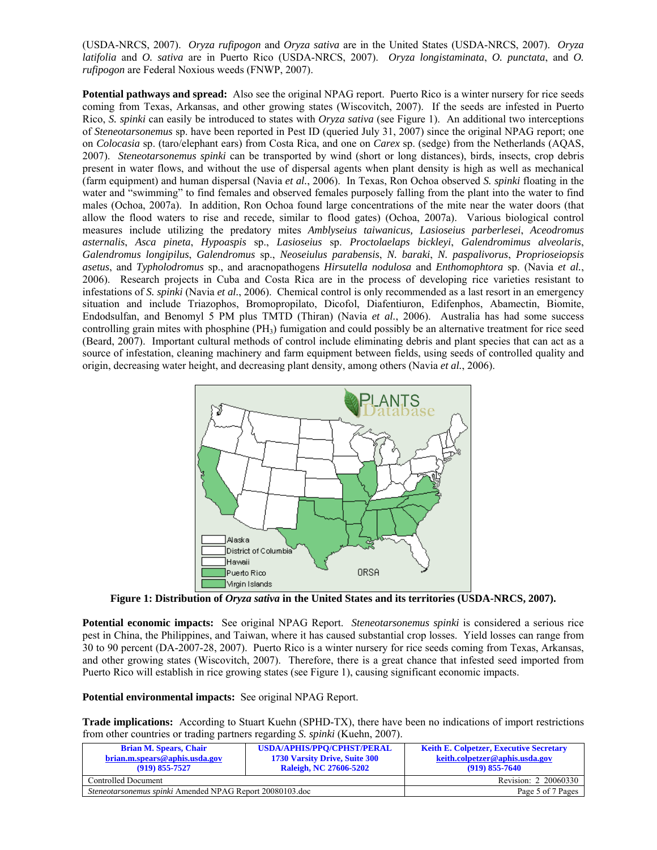(USDA-NRCS, 2007). *Oryza rufipogon* and *Oryza sativa* are in the United States (USDA-NRCS, 2007). *Oryza latifolia* and *O. sativa* are in Puerto Rico (USDA-NRCS, 2007). *Oryza longistaminata*, *O. punctata*, and *O. rufipogon* are Federal Noxious weeds (FNWP, 2007).

**Potential pathways and spread:** Also see the original NPAG report. Puerto Rico is a winter nursery for rice seeds coming from Texas, Arkansas, and other growing states (Wiscovitch, 2007). If the seeds are infested in Puerto Rico, *S. spinki* can easily be introduced to states with *Oryza sativa* (see Figure 1). An additional two interceptions of *Steneotarsonemus* sp. have been reported in Pest ID (queried July 31, 2007) since the original NPAG report; one on *Colocasia* sp. (taro/elephant ears) from Costa Rica, and one on *Carex* sp. (sedge) from the Netherlands (AQAS, 2007). *Steneotarsonemus spinki* can be transported by wind (short or long distances), birds, insects, crop debris present in water flows, and without the use of dispersal agents when plant density is high as well as mechanical (farm equipment) and human dispersal (Navia *et al.*, 2006). In Texas, Ron Ochoa observed *S. spinki* floating in the water and "swimming" to find females and observed females purposely falling from the plant into the water to find males (Ochoa, 2007a). In addition, Ron Ochoa found large concentrations of the mite near the water doors (that allow the flood waters to rise and recede, similar to flood gates) (Ochoa, 2007a). Various biological control measures include utilizing the predatory mites *Amblyseius taiwanicus, Lasioseius parberlesei*, *Aceodromus asternalis*, *Asca pineta*, *Hypoaspis* sp., *Lasioseius* sp. *Proctolaelaps bickleyi*, *Galendromimus alveolaris*, *Galendromus longipilus*, *Galendromus* sp., *Neoseiulus parabensis*, *N. baraki*, *N. paspalivorus*, *Proprioseiopsis asetus*, and *Typholodromus* sp., and aracnopathogens *Hirsutella nodulosa* and *Enthomophtora* sp. (Navia *et al.*, 2006). Research projects in Cuba and Costa Rica are in the process of developing rice varieties resistant to infestations of *S. spinki* (Navia *et al.*, 2006). Chemical control is only recommended as a last resort in an emergency situation and include Triazophos, Bromopropilato, Dicofol, Diafentiuron, Edifenphos, Abamectin, Biomite, Endodsulfan, and Benomyl 5 PM plus TMTD (Thiran) (Navia *et al.*, 2006). Australia has had some success controlling grain mites with phosphine  $(PH_3)$  fumigation and could possibly be an alternative treatment for rice seed (Beard, 2007). Important cultural methods of control include eliminating debris and plant species that can act as a source of infestation, cleaning machinery and farm equipment between fields, using seeds of controlled quality and origin, decreasing water height, and decreasing plant density, among others (Navia *et al.*, 2006).



**Figure 1: Distribution of** *Oryza sativa* **in the United States and its territories (USDA-NRCS, 2007).** 

**Potential economic impacts:** See original NPAG Report. *Steneotarsonemus spinki* is considered a serious rice pest in China, the Philippines, and Taiwan, where it has caused substantial crop losses. Yield losses can range from 30 to 90 percent (DA-2007-28, 2007). Puerto Rico is a winter nursery for rice seeds coming from Texas, Arkansas, and other growing states (Wiscovitch, 2007). Therefore, there is a great chance that infested seed imported from Puerto Rico will establish in rice growing states (see Figure 1), causing significant economic impacts.

#### **Potential environmental impacts:** See original NPAG Report.

**Trade implications:** According to Stuart Kuehn (SPHD-TX), there have been no indications of import restrictions from other countries or trading partners regarding *S. spinki* (Kuehn, 2007).

| <b>Brian M. Spears, Chair</b><br>brian.m.spears@aphis.usda.gov<br>$(919) 855 - 7527$ | <b>USDA/APHIS/PPO/CPHST/PERAL</b><br><b>1730 Varsity Drive, Suite 300</b><br><b>Raleigh, NC 27606-5202</b> | <b>Keith E. Colpetzer, Executive Secretary</b><br>keith.colpetzer@aphis.usda.gov<br>$(919) 855 - 7640$ |
|--------------------------------------------------------------------------------------|------------------------------------------------------------------------------------------------------------|--------------------------------------------------------------------------------------------------------|
| Controlled Document                                                                  |                                                                                                            | Revision: 2 20060330                                                                                   |
| <i>Steneotarsonemus spinki</i> Amended NPAG Report 20080103.doc                      |                                                                                                            | Page 5 of 7 Pages                                                                                      |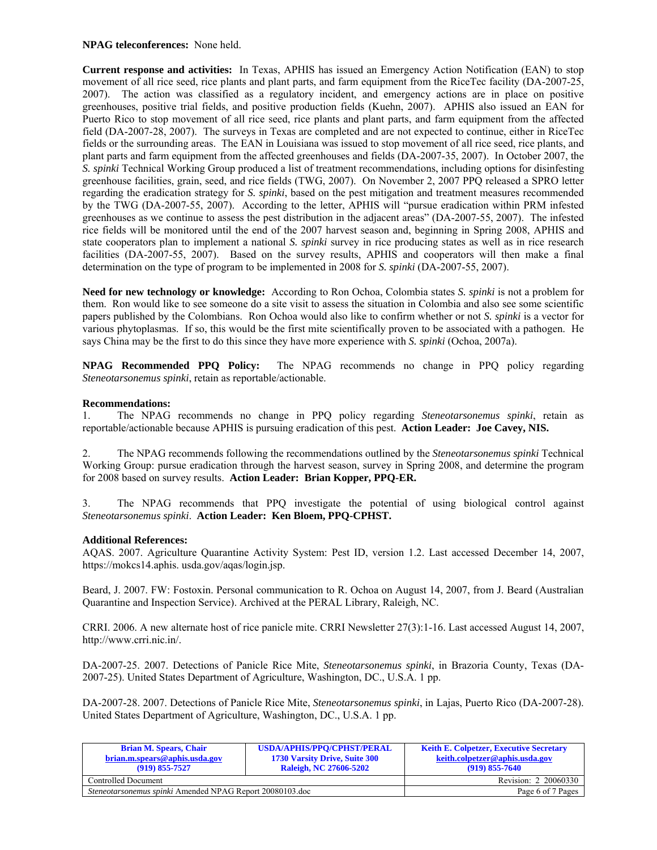### **NPAG teleconferences:** None held.

**Current response and activities:** In Texas, APHIS has issued an Emergency Action Notification (EAN) to stop movement of all rice seed, rice plants and plant parts, and farm equipment from the RiceTec facility (DA-2007-25, 2007). The action was classified as a regulatory incident, and emergency actions are in place on positive greenhouses, positive trial fields, and positive production fields (Kuehn, 2007). APHIS also issued an EAN for Puerto Rico to stop movement of all rice seed, rice plants and plant parts, and farm equipment from the affected field (DA-2007-28, 2007). The surveys in Texas are completed and are not expected to continue, either in RiceTec fields or the surrounding areas. The EAN in Louisiana was issued to stop movement of all rice seed, rice plants, and plant parts and farm equipment from the affected greenhouses and fields (DA-2007-35, 2007). In October 2007, the *S. spinki* Technical Working Group produced a list of treatment recommendations, including options for disinfesting greenhouse facilities, grain, seed, and rice fields (TWG, 2007). On November 2, 2007 PPQ released a SPRO letter regarding the eradication strategy for *S. spinki*, based on the pest mitigation and treatment measures recommended by the TWG (DA-2007-55, 2007). According to the letter, APHIS will "pursue eradication within PRM infested greenhouses as we continue to assess the pest distribution in the adjacent areas" (DA-2007-55, 2007). The infested rice fields will be monitored until the end of the 2007 harvest season and, beginning in Spring 2008, APHIS and state cooperators plan to implement a national *S. spinki* survey in rice producing states as well as in rice research facilities (DA-2007-55, 2007). Based on the survey results, APHIS and cooperators will then make a final determination on the type of program to be implemented in 2008 for *S. spinki* (DA-2007-55, 2007).

**Need for new technology or knowledge:** According to Ron Ochoa, Colombia states *S. spinki* is not a problem for them. Ron would like to see someone do a site visit to assess the situation in Colombia and also see some scientific papers published by the Colombians. Ron Ochoa would also like to confirm whether or not *S. spinki* is a vector for various phytoplasmas. If so, this would be the first mite scientifically proven to be associated with a pathogen. He says China may be the first to do this since they have more experience with *S. spinki* (Ochoa, 2007a).

**NPAG Recommended PPQ Policy:** The NPAG recommends no change in PPQ policy regarding *Steneotarsonemus spinki*, retain as reportable/actionable.

#### **Recommendations:**

1. The NPAG recommends no change in PPQ policy regarding *Steneotarsonemus spinki*, retain as reportable/actionable because APHIS is pursuing eradication of this pest. **Action Leader: Joe Cavey, NIS.**

2. The NPAG recommends following the recommendations outlined by the *Steneotarsonemus spinki* Technical Working Group: pursue eradication through the harvest season, survey in Spring 2008, and determine the program for 2008 based on survey results. **Action Leader: Brian Kopper, PPQ-ER.** 

3. The NPAG recommends that PPQ investigate the potential of using biological control against *Steneotarsonemus spinki*. **Action Leader: Ken Bloem, PPQ-CPHST.** 

#### **Additional References:**

AQAS. 2007. Agriculture Quarantine Activity System: Pest ID, version 1.2. Last accessed December 14, 2007, https://mokcs14.aphis. usda.gov/aqas/login.jsp.

Beard, J. 2007. FW: Fostoxin. Personal communication to R. Ochoa on August 14, 2007, from J. Beard (Australian Quarantine and Inspection Service). Archived at the PERAL Library, Raleigh, NC.

CRRI. 2006. A new alternate host of rice panicle mite. CRRI Newsletter 27(3):1-16. Last accessed August 14, 2007, http://www.crri.nic.in/.

DA-2007-25. 2007. Detections of Panicle Rice Mite, *Steneotarsonemus spinki*, in Brazoria County, Texas (DA-2007-25). United States Department of Agriculture, Washington, DC., U.S.A. 1 pp.

DA-2007-28. 2007. Detections of Panicle Rice Mite, *Steneotarsonemus spinki*, in Lajas, Puerto Rico (DA-2007-28). United States Department of Agriculture, Washington, DC., U.S.A. 1 pp.

| <b>Brian M. Spears, Chair</b><br>brian.m.spears@aphis.usda.gov<br>$(919)$ 855-7527 | <b>USDA/APHIS/PPO/CPHST/PERAL</b><br><b>1730 Varsity Drive, Suite 300</b><br><b>Raleigh, NC 27606-5202</b> | <b>Keith E. Colpetzer, Executive Secretary</b><br>keith.colpetzer@aphis.usda.gov<br>$(919) 855 - 7640$ |
|------------------------------------------------------------------------------------|------------------------------------------------------------------------------------------------------------|--------------------------------------------------------------------------------------------------------|
| Controlled Document                                                                |                                                                                                            | Revision: 2 20060330                                                                                   |
| <i>Steneotarsonemus spinki</i> Amended NPAG Report 20080103.doc                    |                                                                                                            | Page 6 of 7 Pages                                                                                      |